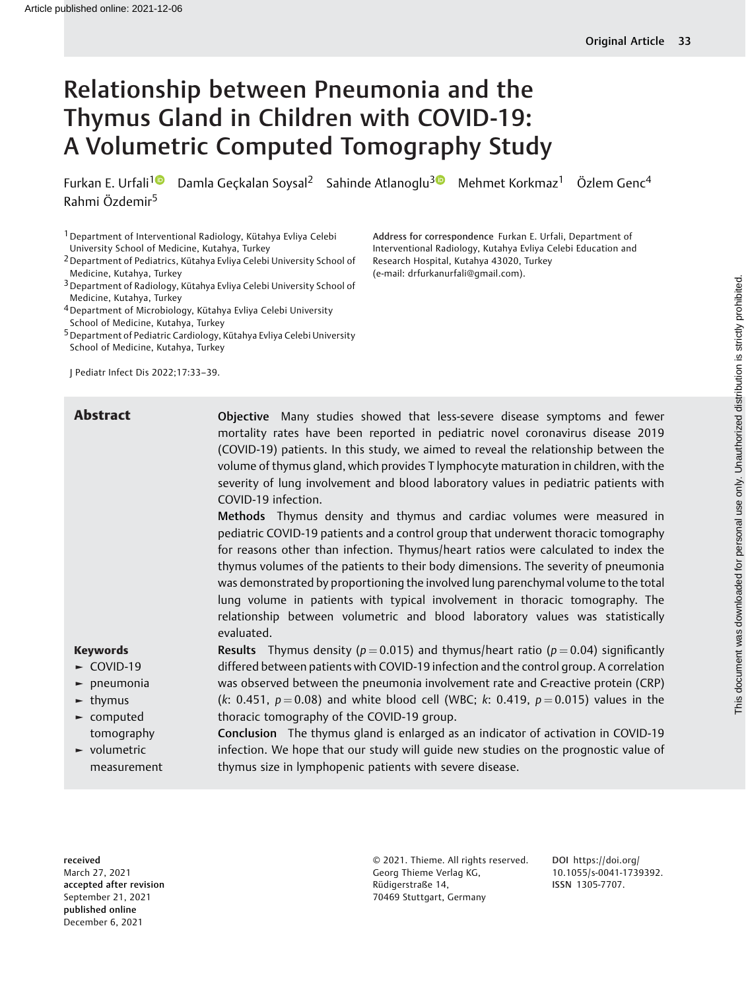# Relationship between Pneumonia and the Thymus Gland in Children with COVID-19: A Volumetric Computed Tomography Study

Furkan E. Urfali<sup>[1](https://orcid.org/0000-0002-4875-7761)0</sup> Damla Geckalan Soysal<sup>2</sup> Sahinde Atlanoglu<sup>30</sup> Mehmet Korkmaz<sup>1</sup> Özlem Genc<sup>4</sup> Rahmi Özdemir<sup>5</sup>

1Department of Interventional Radiology, Kütahya Evliya Celebi University School of Medicine, Kutahya, Turkey

2Department of Pediatrics, Kütahya Evliya Celebi University School of Medicine, Kutahya, Turkey

3Department of Radiology, Kütahya Evliya Celebi University School of Medicine, Kutahya, Turkey

4Department of Microbiology, Kütahya Evliya Celebi University School of Medicine, Kutahya, Turkey

<sup>5</sup> Department of Pediatric Cardiology, Kütahya Evliya Celebi University School of Medicine, Kutahya, Turkey

J Pediatr Infect Dis 2022;17:33–39.

Address for correspondence Furkan E. Urfali, Department of Interventional Radiology, Kutahya Evliya Celebi Education and Research Hospital, Kutahya 43020, Turkey (e-mail: [drfurkanurfali@gmail.com](mailto:drfurkanurfali@gmail.com)).

Abstract **Objective** Many studies showed that less-severe disease symptoms and fewer mortality rates have been reported in pediatric novel coronavirus disease 2019 (COVID-19) patients. In this study, we aimed to reveal the relationship between the volume of thymus gland, which provides T lymphocyte maturation in children, with the severity of lung involvement and blood laboratory values in pediatric patients with COVID-19 infection.

Methods Thymus density and thymus and cardiac volumes were measured in pediatric COVID-19 patients and a control group that underwent thoracic tomography for reasons other than infection. Thymus/heart ratios were calculated to index the thymus volumes of the patients to their body dimensions. The severity of pneumonia was demonstrated by proportioning the involved lung parenchymal volume to the total lung volume in patients with typical involvement in thoracic tomography. The relationship between volumetric and blood laboratory values was statistically evaluated.

**Results** Thymus density ( $p = 0.015$ ) and thymus/heart ratio ( $p = 0.04$ ) significantly differed between patients with COVID-19 infection and the control group. A correlation was observed between the pneumonia involvement rate and C-reactive protein (CRP) (k: 0.451,  $p = 0.08$ ) and white blood cell (WBC; k: 0.419,  $p = 0.015$ ) values in the

#### Keywords

- ► COVID-19
- ► pneumonia
- $\blacktriangleright$  thymus
- ► computed tomography
- ► volumetric measurement

thoracic tomography of the COVID-19 group. Conclusion The thymus gland is enlarged as an indicator of activation in COVID-19 infection. We hope that our study will guide new studies on the prognostic value of thymus size in lymphopenic patients with severe disease.

received March 27, 2021 accepted after revision September 21, 2021 published online December 6, 2021

© 2021. Thieme. All rights reserved. Georg Thieme Verlag KG, Rüdigerstraße 14, 70469 Stuttgart, Germany

DOI [https://doi.org/](https://doi.org/10.1055/s-0041-1739392) [10.1055/s-0041-1739392](https://doi.org/10.1055/s-0041-1739392). ISSN 1305-7707.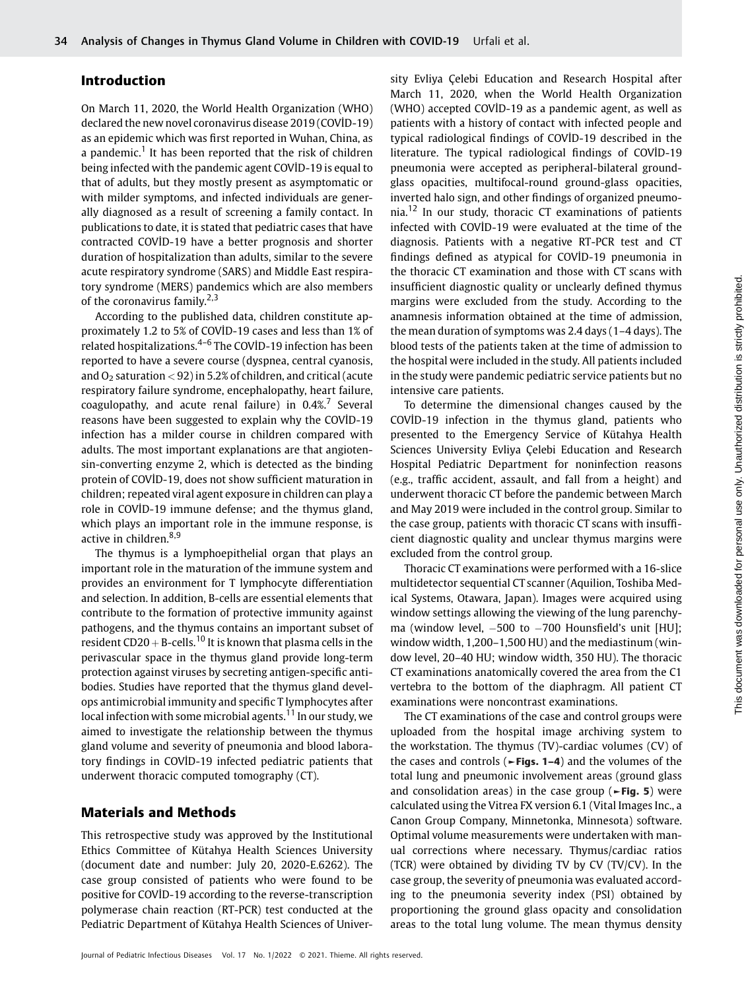# Introduction

On March 11, 2020, the World Health Organization (WHO) declared the new novel coronavirus disease 2019 (COVİD-19) as an epidemic which was first reported in Wuhan, China, as a pandemic.<sup>1</sup> It has been reported that the risk of children being infected with the pandemic agent COVİD-19 is equal to that of adults, but they mostly present as asymptomatic or with milder symptoms, and infected individuals are generally diagnosed as a result of screening a family contact. In publications to date, it is stated that pediatric cases that have contracted COVİD-19 have a better prognosis and shorter duration of hospitalization than adults, similar to the severe acute respiratory syndrome (SARS) and Middle East respiratory syndrome (MERS) pandemics which are also members of the coronavirus family.<sup>2,3</sup>

According to the published data, children constitute approximately 1.2 to 5% of COVİD-19 cases and less than 1% of related hospitalizations.4–<sup>6</sup> The COVİD-19 infection has been reported to have a severe course (dyspnea, central cyanosis, and  $O_2$  saturation < 92) in 5.2% of children, and critical (acute respiratory failure syndrome, encephalopathy, heart failure, coagulopathy, and acute renal failure) in  $0.4\%$ .<sup>7</sup> Several reasons have been suggested to explain why the COVİD-19 infection has a milder course in children compared with adults. The most important explanations are that angiotensin-converting enzyme 2, which is detected as the binding protein of COVİD-19, does not show sufficient maturation in children; repeated viral agent exposure in children can play a role in COVİD-19 immune defense; and the thymus gland, which plays an important role in the immune response, is active in children.<sup>8,9</sup>

The thymus is a lymphoepithelial organ that plays an important role in the maturation of the immune system and provides an environment for T lymphocyte differentiation and selection. In addition, B-cells are essential elements that contribute to the formation of protective immunity against pathogens, and the thymus contains an important subset of resident CD20 + B-cells.<sup>10</sup> It is known that plasma cells in the perivascular space in the thymus gland provide long-term protection against viruses by secreting antigen-specific antibodies. Studies have reported that the thymus gland develops antimicrobial immunity and specific T lymphocytes after local infection with some microbial agents.<sup>11</sup> In our study, we aimed to investigate the relationship between the thymus gland volume and severity of pneumonia and blood laboratory findings in COVİD-19 infected pediatric patients that underwent thoracic computed tomography (CT).

### Materials and Methods

This retrospective study was approved by the Institutional Ethics Committee of Kütahya Health Sciences University (document date and number: July 20, 2020-E.6262). The case group consisted of patients who were found to be positive for COVİD-19 according to the reverse-transcription polymerase chain reaction (RT-PCR) test conducted at the Pediatric Department of Kütahya Health Sciences of Univer-

sity Evliya Çelebi Education and Research Hospital after March 11, 2020, when the World Health Organization (WHO) accepted COVİD-19 as a pandemic agent, as well as patients with a history of contact with infected people and typical radiological findings of COVİD-19 described in the literature. The typical radiological findings of COVİD-19 pneumonia were accepted as peripheral-bilateral groundglass opacities, multifocal-round ground-glass opacities, inverted halo sign, and other findings of organized pneumonia.<sup>12</sup> In our study, thoracic CT examinations of patients infected with COVİD-19 were evaluated at the time of the diagnosis. Patients with a negative RT-PCR test and CT findings defined as atypical for COVİD-19 pneumonia in the thoracic CT examination and those with CT scans with insufficient diagnostic quality or unclearly defined thymus margins were excluded from the study. According to the anamnesis information obtained at the time of admission, the mean duration of symptoms was 2.4 days (1–4 days). The blood tests of the patients taken at the time of admission to the hospital were included in the study. All patients included in the study were pandemic pediatric service patients but no intensive care patients.

To determine the dimensional changes caused by the COVİD-19 infection in the thymus gland, patients who presented to the Emergency Service of Kütahya Health Sciences University Evliya Çelebi Education and Research Hospital Pediatric Department for noninfection reasons (e.g., traffic accident, assault, and fall from a height) and underwent thoracic CT before the pandemic between March and May 2019 were included in the control group. Similar to the case group, patients with thoracic CT scans with insufficient diagnostic quality and unclear thymus margins were excluded from the control group.

Thoracic CT examinations were performed with a 16-slice multidetector sequential CT scanner (Aquilion, Toshiba Medical Systems, Otawara, Japan). Images were acquired using window settings allowing the viewing of the lung parenchyma (window level, -500 to -700 Hounsfield's unit [HU]; window width, 1,200–1,500 HU) and the mediastinum (window level, 20–40 HU; window width, 350 HU). The thoracic CT examinations anatomically covered the area from the C1 vertebra to the bottom of the diaphragm. All patient CT examinations were noncontrast examinations.

The CT examinations of the case and control groups were uploaded from the hospital image archiving system to the workstation. The thymus (TV)-cardiac volumes (CV) of the cases and controls (►Figs. 1–4) and the volumes of the total lung and pneumonic involvement areas (ground glass and consolidation areas) in the case group ( $\blacktriangleright$ Fig. 5) were calculated using the Vitrea FX version 6.1 (Vital Images Inc., a Canon Group Company, Minnetonka, Minnesota) software. Optimal volume measurements were undertaken with manual corrections where necessary. Thymus/cardiac ratios (TCR) were obtained by dividing TV by CV (TV/CV). In the case group, the severity of pneumonia was evaluated according to the pneumonia severity index (PSI) obtained by proportioning the ground glass opacity and consolidation areas to the total lung volume. The mean thymus density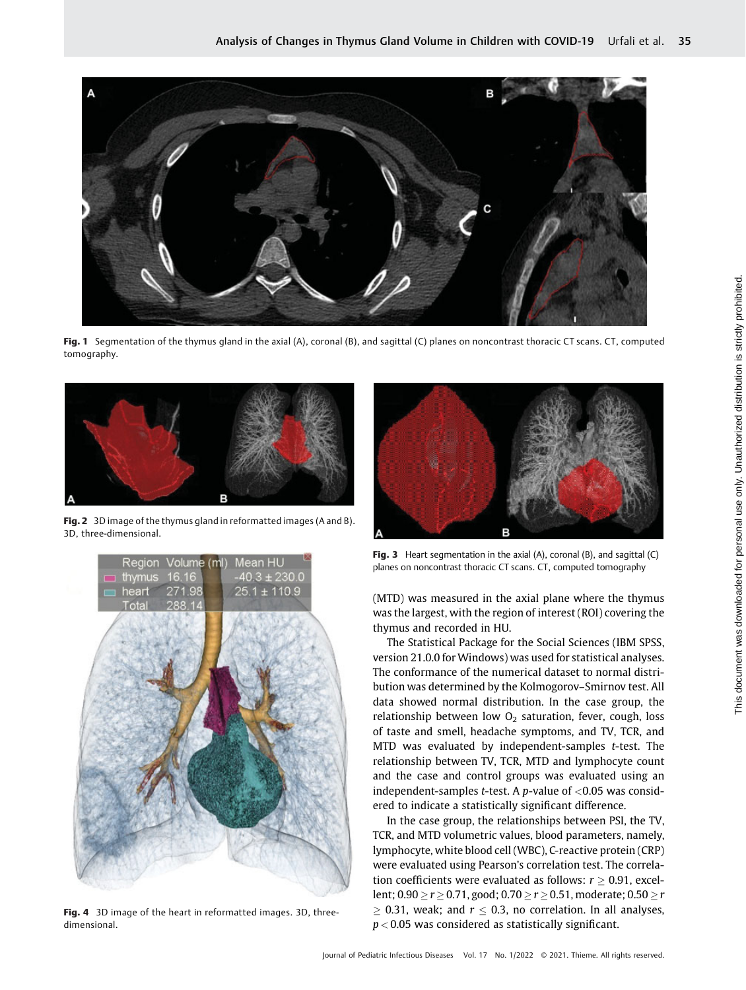

Fig. 1 Segmentation of the thymus gland in the axial (A), coronal (B), and sagittal (C) planes on noncontrast thoracic CT scans. CT, computed tomography.



Fig. 2 3D image of the thymus gland in reformatted images (A and B). 3D, three-dimensional.



Fig. 4 3D image of the heart in reformatted images. 3D, threedimensional.



Fig. 3 Heart segmentation in the axial  $(A)$ , coronal  $(B)$ , and sagittal  $(C)$ planes on noncontrast thoracic CT scans. CT, computed tomography

(MTD) was measured in the axial plane where the thymus was the largest, with the region of interest (ROI) covering the thymus and recorded in HU.

The Statistical Package for the Social Sciences (IBM SPSS, version 21.0.0 for Windows) was used for statistical analyses. The conformance of the numerical dataset to normal distribution was determined by the Kolmogorov–Smirnov test. All data showed normal distribution. In the case group, the relationship between low  $O<sub>2</sub>$  saturation, fever, cough, loss of taste and smell, headache symptoms, and TV, TCR, and MTD was evaluated by independent-samples t-test. The relationship between TV, TCR, MTD and lymphocyte count and the case and control groups was evaluated using an independent-samples t-test. A p-value of  $<$ 0.05 was considered to indicate a statistically significant difference.

In the case group, the relationships between PSI, the TV, TCR, and MTD volumetric values, blood parameters, namely, lymphocyte, white blood cell (WBC), C-reactive protein (CRP) were evaluated using Pearson's correlation test. The correlation coefficients were evaluated as follows:  $r > 0.91$ , excellent;  $0.90 \ge r \ge 0.71$ , good;  $0.70 \ge r \ge 0.51$ , moderate;  $0.50 \ge r$  $\geq$  0.31, weak; and  $r \leq 0.3$ , no correlation. In all analyses,  $p < 0.05$  was considered as statistically significant.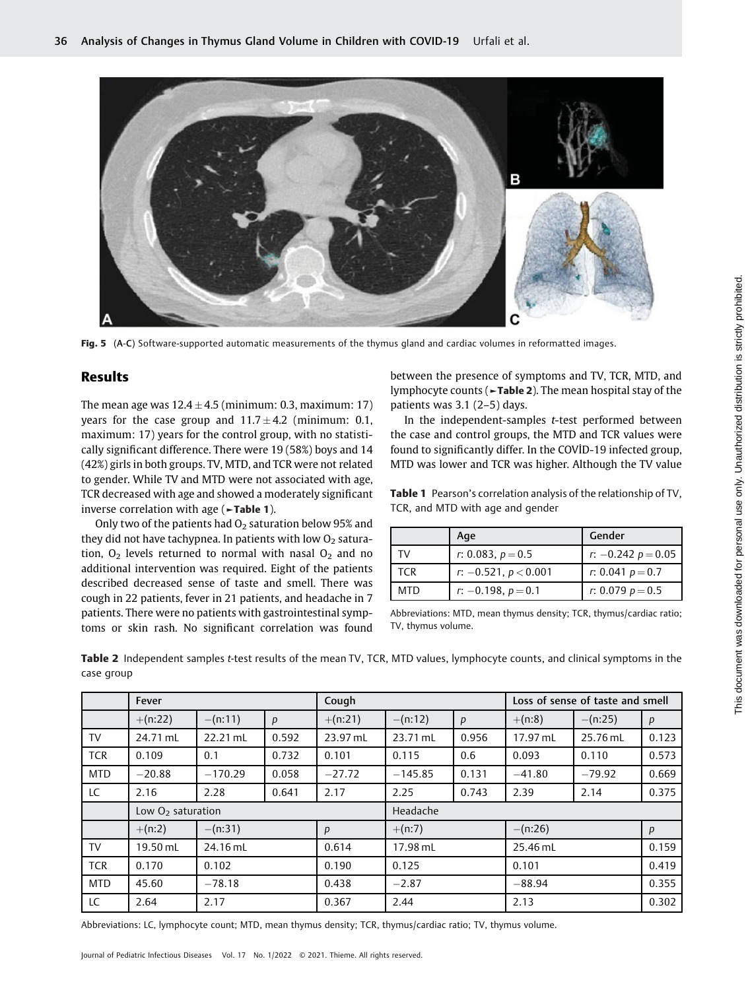

Fig. 5 (A-C) Software-supported automatic measurements of the thymus gland and cardiac volumes in reformatted images.

# Results

The mean age was  $12.4 \pm 4.5$  (minimum: 0.3, maximum: 17) years for the case group and  $11.7 \pm 4.2$  (minimum: 0.1, maximum: 17) years for the control group, with no statistically significant difference. There were 19 (58%) boys and 14 (42%) girls in both groups. TV, MTD, and TCR were not related to gender. While TV and MTD were not associated with age, TCR decreased with age and showed a moderately significant inverse correlation with age ( $\blacktriangleright$ Table 1).

Only two of the patients had  $O_2$  saturation below 95% and they did not have tachypnea. In patients with low  $O<sub>2</sub>$  saturation,  $O_2$  levels returned to normal with nasal  $O_2$  and no additional intervention was required. Eight of the patients described decreased sense of taste and smell. There was cough in 22 patients, fever in 21 patients, and headache in 7 patients. There were no patients with gastrointestinal symptoms or skin rash. No significant correlation was found between the presence of symptoms and TV, TCR, MTD, and lymphocyte counts (►Table 2). The mean hospital stay of the patients was 3.1 (2–5) days.

In the independent-samples t-test performed between the case and control groups, the MTD and TCR values were found to significantly differ. In the COVİD-19 infected group, MTD was lower and TCR was higher. Although the TV value

Table 1 Pearson's correlation analysis of the relationship of TV, TCR, and MTD with age and gender

|            | Age                    | Gender               |
|------------|------------------------|----------------------|
| TV         | r: 0.083, $p = 0.5$    | r: $-0.242 p = 0.05$ |
| <b>TCR</b> | $r: -0.521, p < 0.001$ | r: 0.041 $p = 0.7$   |
| MTD        | $r: -0.198, p=0.1$     | r: 0.079 $p = 0.5$   |

Abbreviations: MTD, mean thymus density; TCR, thymus/cardiac ratio; TV, thymus volume.

Table 2 Independent samples t-test results of the mean TV, TCR, MTD values, lymphocyte counts, and clinical symptoms in the case group

|            | Fever               |            |                  | Cough            |           | Loss of sense of taste and smell |           |           |                  |
|------------|---------------------|------------|------------------|------------------|-----------|----------------------------------|-----------|-----------|------------------|
|            | $+(n:22)$           | $- (n:11)$ | $\boldsymbol{p}$ | $+(n:21)$        | $-(n:12)$ | p                                | $+(n:8)$  | $-(n:25)$ | $\boldsymbol{p}$ |
| <b>TV</b>  | 24.71 mL            | $22.21$ mL | 0.592            | 23.97 mL         | 23.71 mL  | 0.956                            | 17.97 mL  | 25.76 mL  | 0.123            |
| <b>TCR</b> | 0.109               | 0.1        | 0.732            | 0.101            | 0.115     | 0.6                              | 0.093     | 0.110     | 0.573            |
| <b>MTD</b> | $-20.88$            | $-170.29$  | 0.058            | $-27.72$         | $-145.85$ | 0.131                            | $-41.80$  | $-79.92$  | 0.669            |
| LC         | 2.16                | 2.28       | 0.641            | 2.17             | 2.25      | 0.743                            | 2.39      | 2.14      | 0.375            |
|            | Low $O2$ saturation |            |                  |                  | Headache  |                                  |           |           |                  |
|            | $+(n:2)$            | $-(n:31)$  |                  | $\boldsymbol{p}$ | $+(n:7)$  |                                  | $-(n:26)$ |           | $\boldsymbol{p}$ |
| <b>TV</b>  | 19.50 mL            | 24.16 mL   |                  | 0.614            | 17.98 mL  |                                  | 25.46 mL  |           | 0.159            |
| <b>TCR</b> | 0.170               | 0.102      |                  | 0.190            | 0.125     |                                  | 0.101     |           | 0.419            |
| <b>MTD</b> | 45.60               | $-78.18$   |                  | 0.438            | $-2.87$   |                                  | $-88.94$  |           | 0.355            |
| LC         | 2.64                | 2.17       |                  | 0.367            | 2.44      |                                  | 2.13      |           | 0.302            |

Abbreviations: LC, lymphocyte count; MTD, mean thymus density; TCR, thymus/cardiac ratio; TV, thymus volume.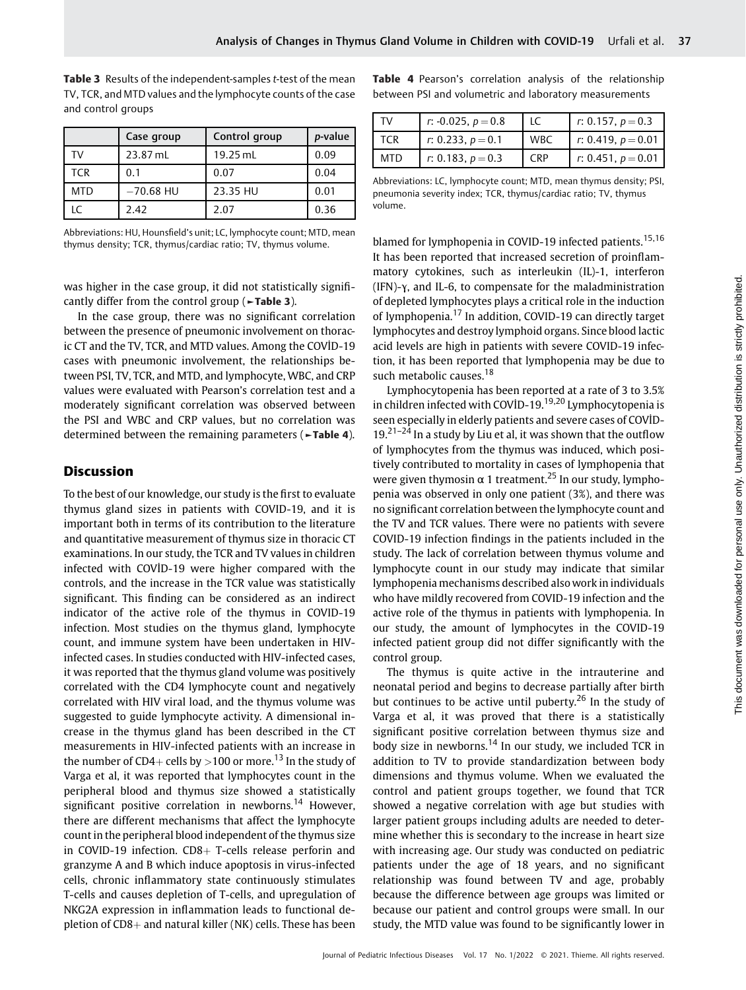|            | Case group  | Control group | p-value |  |
|------------|-------------|---------------|---------|--|
| TV         | 23.87 mL    | $19.25$ mL    | 0.09    |  |
| <b>TCR</b> | 0.1         | 0.07          | 0.04    |  |
| <b>MTD</b> | $-70.68$ HU | 23.35 HU      | 0.01    |  |
| ١C         | 2.42        | 2.07          | 0.36    |  |

Table 3 Results of the independent-samples t-test of the mean TV, TCR, and MTD values and the lymphocyte counts of the case and control groups

Abbreviations: HU, Hounsfield's unit; LC, lymphocyte count; MTD, mean thymus density; TCR, thymus/cardiac ratio; TV, thymus volume.

was higher in the case group, it did not statistically significantly differ from the control group (►Table 3).

In the case group, there was no significant correlation between the presence of pneumonic involvement on thoracic CT and the TV, TCR, and MTD values. Among the COVİD-19 cases with pneumonic involvement, the relationships between PSI, TV, TCR, and MTD, and lymphocyte, WBC, and CRP values were evaluated with Pearson's correlation test and a moderately significant correlation was observed between the PSI and WBC and CRP values, but no correlation was determined between the remaining parameters (►Table 4).

#### **Discussion**

To the best of our knowledge, our study is the first to evaluate thymus gland sizes in patients with COVID-19, and it is important both in terms of its contribution to the literature and quantitative measurement of thymus size in thoracic CT examinations. In our study, the TCR and TV values in children infected with COVİD-19 were higher compared with the controls, and the increase in the TCR value was statistically significant. This finding can be considered as an indirect indicator of the active role of the thymus in COVID-19 infection. Most studies on the thymus gland, lymphocyte count, and immune system have been undertaken in HIVinfected cases. In studies conducted with HIV-infected cases, it was reported that the thymus gland volume was positively correlated with the CD4 lymphocyte count and negatively correlated with HIV viral load, and the thymus volume was suggested to guide lymphocyte activity. A dimensional increase in the thymus gland has been described in the CT measurements in HIV-infected patients with an increase in the number of CD4+ cells by >100 or more.<sup>13</sup> In the study of Varga et al, it was reported that lymphocytes count in the peripheral blood and thymus size showed a statistically significant positive correlation in newborns.<sup>14</sup> However, there are different mechanisms that affect the lymphocyte count in the peripheral blood independent of the thymus size in COVID-19 infection.  $CD8+$  T-cells release perforin and granzyme A and B which induce apoptosis in virus-infected cells, chronic inflammatory state continuously stimulates T-cells and causes depletion of T-cells, and upregulation of NKG2A expression in inflammation leads to functional depletion of  $CD8$ + and natural killer (NK) cells. These has been Table 4 Pearson's correlation analysis of the relationship between PSI and volumetric and laboratory measurements

| ٢V  | r: -0.025, $p = 0.8$ | LC.        | r: 0.157, $p = 0.3$  |
|-----|----------------------|------------|----------------------|
| TCR | r: 0.233, $p = 0.1$  | <b>WBC</b> | r: 0.419, $p = 0.01$ |
| MTD | r: 0.183, $p = 0.3$  | <b>CRP</b> | r: 0.451, $p = 0.01$ |

Abbreviations: LC, lymphocyte count; MTD, mean thymus density; PSI, pneumonia severity index; TCR, thymus/cardiac ratio; TV, thymus volume.

blamed for lymphopenia in COVID-19 infected patients.<sup>15,16</sup> It has been reported that increased secretion of proinflammatory cytokines, such as interleukin (IL)-1, interferon (IFN)-γ, and IL-6, to compensate for the maladministration of depleted lymphocytes plays a critical role in the induction of lymphopenia.<sup>17</sup> In addition, COVID-19 can directly target lymphocytes and destroy lymphoid organs. Since blood lactic acid levels are high in patients with severe COVID-19 infection, it has been reported that lymphopenia may be due to such metabolic causes.<sup>18</sup>

Lymphocytopenia has been reported at a rate of 3 to 3.5% in children infected with COVID-19.<sup>19,20</sup> Lymphocytopenia is seen especially in elderly patients and severe cases of COVİD- $19.21-24$  In a study by Liu et al, it was shown that the outflow of lymphocytes from the thymus was induced, which positively contributed to mortality in cases of lymphopenia that were given thymosin  $\alpha$  1 treatment.<sup>25</sup> In our study, lymphopenia was observed in only one patient (3%), and there was no significant correlation between the lymphocyte count and the TV and TCR values. There were no patients with severe COVID-19 infection findings in the patients included in the study. The lack of correlation between thymus volume and lymphocyte count in our study may indicate that similar lymphopenia mechanisms described also work in individuals who have mildly recovered from COVID-19 infection and the active role of the thymus in patients with lymphopenia. In our study, the amount of lymphocytes in the COVID-19 infected patient group did not differ significantly with the control group.

The thymus is quite active in the intrauterine and neonatal period and begins to decrease partially after birth but continues to be active until puberty.<sup>26</sup> In the study of Varga et al, it was proved that there is a statistically significant positive correlation between thymus size and body size in newborns.<sup>14</sup> In our study, we included TCR in addition to TV to provide standardization between body dimensions and thymus volume. When we evaluated the control and patient groups together, we found that TCR showed a negative correlation with age but studies with larger patient groups including adults are needed to determine whether this is secondary to the increase in heart size with increasing age. Our study was conducted on pediatric patients under the age of 18 years, and no significant relationship was found between TV and age, probably because the difference between age groups was limited or because our patient and control groups were small. In our study, the MTD value was found to be significantly lower in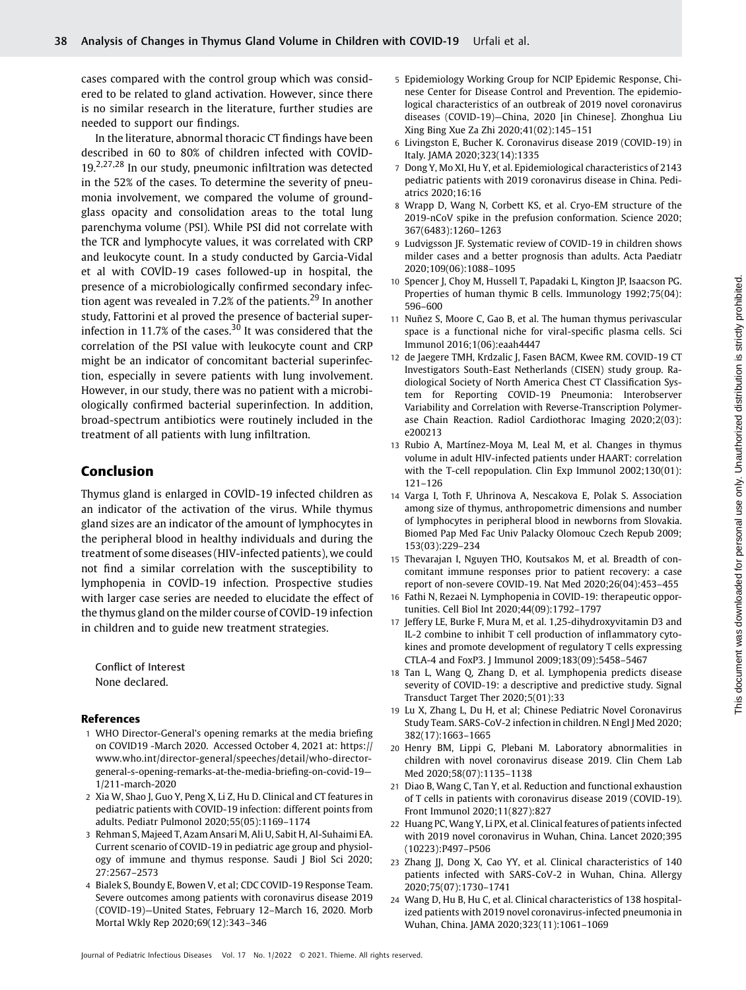cases compared with the control group which was considered to be related to gland activation. However, since there is no similar research in the literature, further studies are needed to support our findings.

In the literature, abnormal thoracic CT findings have been described in 60 to 80% of children infected with COVİD-19.<sup>2,27,28</sup> In our study, pneumonic infiltration was detected in the 52% of the cases. To determine the severity of pneumonia involvement, we compared the volume of groundglass opacity and consolidation areas to the total lung parenchyma volume (PSI). While PSI did not correlate with the TCR and lymphocyte values, it was correlated with CRP and leukocyte count. In a study conducted by Garcia-Vidal et al with COVİD-19 cases followed-up in hospital, the presence of a microbiologically confirmed secondary infection agent was revealed in 7.2% of the patients.<sup>29</sup> In another study, Fattorini et al proved the presence of bacterial superinfection in 11.7% of the cases.<sup>30</sup> It was considered that the correlation of the PSI value with leukocyte count and CRP might be an indicator of concomitant bacterial superinfection, especially in severe patients with lung involvement. However, in our study, there was no patient with a microbiologically confirmed bacterial superinfection. In addition, broad-spectrum antibiotics were routinely included in the treatment of all patients with lung infiltration.

# Conclusion

Thymus gland is enlarged in COVİD-19 infected children as an indicator of the activation of the virus. While thymus gland sizes are an indicator of the amount of lymphocytes in the peripheral blood in healthy individuals and during the treatment of some diseases (HIV-infected patients), we could not find a similar correlation with the susceptibility to lymphopenia in COVİD-19 infection. Prospective studies with larger case series are needed to elucidate the effect of the thymus gland on the milder course of COVİD-19 infection in children and to guide new treatment strategies.

Conflict of Interest None declared.

#### References

- 1 WHO Director-General's opening remarks at the media briefing on COVID19 -March 2020. Accessed October 4, 2021 at: [https://](https://www.who.int/director-general/speeches/detail/who-director-general-s-opening-remarks-at-the-media-briefing-on-covid-19&x2014;1/211-march-2020) [www.who.int/director-general/speeches/detail/who-director](https://www.who.int/director-general/speeches/detail/who-director-general-s-opening-remarks-at-the-media-briefing-on-covid-19&x2014;1/211-march-2020)[general-s-opening-remarks-at-the-media-brie](https://www.who.int/director-general/speeches/detail/who-director-general-s-opening-remarks-at-the-media-briefing-on-covid-19&x2014;1/211-march-2020)fing-on-covid-19— [1/211-march-2020](https://www.who.int/director-general/speeches/detail/who-director-general-s-opening-remarks-at-the-media-briefing-on-covid-19&x2014;1/211-march-2020)
- 2 Xia W, Shao J, Guo Y, Peng X, Li Z, Hu D. Clinical and CT features in pediatric patients with COVID-19 infection: different points from adults. Pediatr Pulmonol 2020;55(05):1169–1174
- 3 Rehman S, Majeed T, Azam Ansari M, Ali U, Sabit H, Al-Suhaimi EA. Current scenario of COVID-19 in pediatric age group and physiology of immune and thymus response. Saudi J Biol Sci 2020; 27:2567–2573
- 4 Bialek S, Boundy E, Bowen V, et al; CDC COVID-19 Response Team. Severe outcomes among patients with coronavirus disease 2019 (COVID-19)—United States, February 12–March 16, 2020. Morb Mortal Wkly Rep 2020;69(12):343–346
- 5 Epidemiology Working Group for NCIP Epidemic Response, Chinese Center for Disease Control and Prevention. The epidemiological characteristics of an outbreak of 2019 novel coronavirus diseases (COVID-19)—China, 2020 [in Chinese]. Zhonghua Liu Xing Bing Xue Za Zhi 2020;41(02):145–151
- 6 Livingston E, Bucher K. Coronavirus disease 2019 (COVID-19) in Italy. JAMA 2020;323(14):1335
- 7 Dong Y, Mo XI, Hu Y, et al. Epidemiological characteristics of 2143 pediatric patients with 2019 coronavirus disease in China. Pediatrics 2020;16:16
- 8 Wrapp D, Wang N, Corbett KS, et al. Cryo-EM structure of the 2019-nCoV spike in the prefusion conformation. Science 2020; 367(6483):1260–1263
- 9 Ludvigsson JF. Systematic review of COVID-19 in children shows milder cases and a better prognosis than adults. Acta Paediatr 2020;109(06):1088–1095
- 10 Spencer J, Choy M, Hussell T, Papadaki L, Kington JP, Isaacson PG. Properties of human thymic B cells. Immunology 1992;75(04): 596–600
- 11 Nuñez S, Moore C, Gao B, et al. The human thymus perivascular space is a functional niche for viral-specific plasma cells. Sci Immunol 2016;1(06):eaah4447
- 12 de Jaegere TMH, Krdzalic J, Fasen BACM, Kwee RM. COVID-19 CT Investigators South-East Netherlands (CISEN) study group. Radiological Society of North America Chest CT Classification System for Reporting COVID-19 Pneumonia: Interobserver Variability and Correlation with Reverse-Transcription Polymerase Chain Reaction. Radiol Cardiothorac Imaging 2020;2(03): e200213
- 13 Rubio A, Martínez-Moya M, Leal M, et al. Changes in thymus volume in adult HIV-infected patients under HAART: correlation with the T-cell repopulation. Clin Exp Immunol 2002;130(01): 121–126
- 14 Varga I, Toth F, Uhrinova A, Nescakova E, Polak S. Association among size of thymus, anthropometric dimensions and number of lymphocytes in peripheral blood in newborns from Slovakia. Biomed Pap Med Fac Univ Palacky Olomouc Czech Repub 2009; 153(03):229–234
- 15 Thevarajan I, Nguyen THO, Koutsakos M, et al. Breadth of concomitant immune responses prior to patient recovery: a case report of non-severe COVID-19. Nat Med 2020;26(04):453–455
- 16 Fathi N, Rezaei N. Lymphopenia in COVID-19: therapeutic opportunities. Cell Biol Int 2020;44(09):1792–1797
- 17 Jeffery LE, Burke F, Mura M, et al. 1,25-dihydroxyvitamin D3 and IL-2 combine to inhibit T cell production of inflammatory cytokines and promote development of regulatory T cells expressing CTLA-4 and FoxP3. J Immunol 2009;183(09):5458–5467
- 18 Tan L, Wang Q, Zhang D, et al. Lymphopenia predicts disease severity of COVID-19: a descriptive and predictive study. Signal Transduct Target Ther 2020;5(01):33
- 19 Lu X, Zhang L, Du H, et al; Chinese Pediatric Novel Coronavirus Study Team. SARS-CoV-2 infection in children. N Engl J Med 2020; 382(17):1663–1665
- 20 Henry BM, Lippi G, Plebani M. Laboratory abnormalities in children with novel coronavirus disease 2019. Clin Chem Lab Med 2020;58(07):1135–1138
- 21 Diao B, Wang C, Tan Y, et al. Reduction and functional exhaustion of T cells in patients with coronavirus disease 2019 (COVID-19). Front Immunol 2020;11(827):827
- 22 Huang PC, Wang Y, Li PX, et al. Clinical features of patients infected with 2019 novel coronavirus in Wuhan, China. Lancet 2020;395 (10223):P497–P506
- 23 Zhang JJ, Dong X, Cao YY, et al. Clinical characteristics of 140 patients infected with SARS-CoV-2 in Wuhan, China. Allergy 2020;75(07):1730–1741
- 24 Wang D, Hu B, Hu C, et al. Clinical characteristics of 138 hospitalized patients with 2019 novel coronavirus-infected pneumonia in Wuhan, China. JAMA 2020;323(11):1061–1069